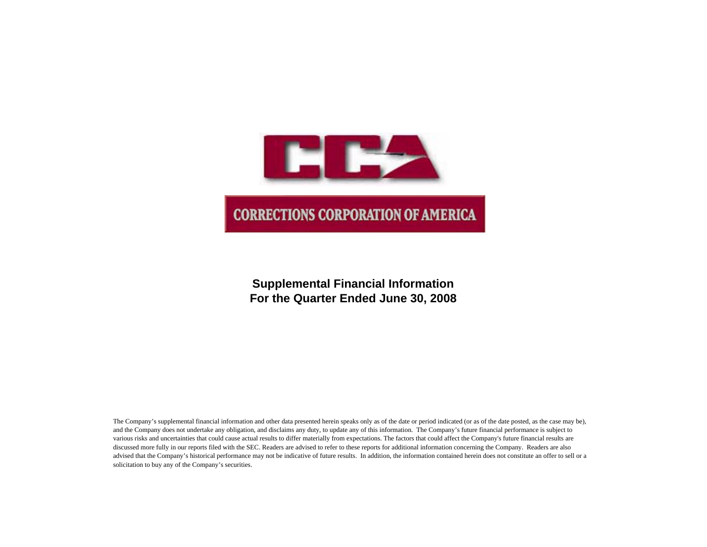

# **Supplemental Financial Information For the Quarter Ended June 30, 2008**

The Company's supplemental financial information and other data presented herein speaks only as of the date or period indicated (or as of the date posted, as the case may be), and the Company does not undertake any obligation, and disclaims any duty, to update any of this information. The Company's future financial performance is subject to various risks and uncertainties that could cause actual results to differ materially from expectations. The factors that could affect the Company's future financial results are discussed more fully in our reports filed with the SEC. Readers are advised to refer to these reports for additional information concerning the Company. Readers are also advised that the Company's historical performance may not be indicative of future results. In addition, the information contained herein does not constitute an offer to sell or a solicitation to buy any of the Company's securities.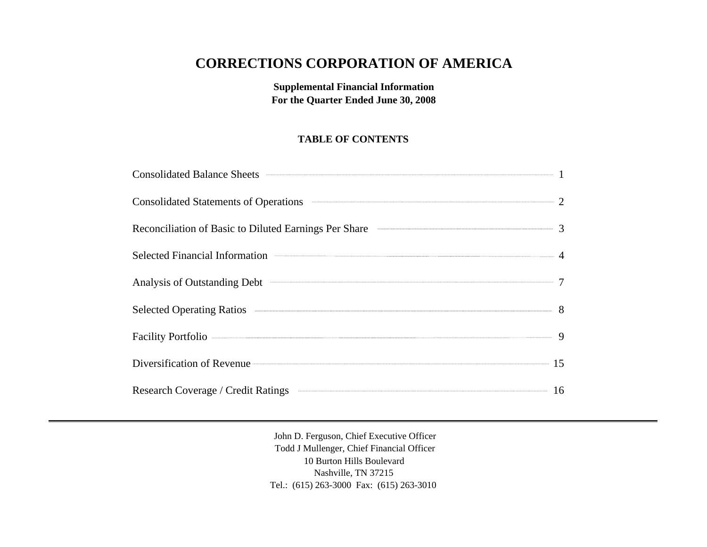# **CORRECTIONS CORPORATION OF AMERICA**

**Supplemental Financial Information For the Quarter Ended June 30, 2008**

# **TABLE OF CONTENTS**

| Consolidated Balance Sheets <b>Consolidated Balance Sheets</b> 1                         |  |
|------------------------------------------------------------------------------------------|--|
| <b>Consolidated Statements of Operations</b>                                             |  |
|                                                                                          |  |
| Selected Financial Information <b>Exercísies</b> 4                                       |  |
| Analysis of Outstanding Debt                                                             |  |
| Selected Operating Ratios 38                                                             |  |
| Facility Portfolio – 9                                                                   |  |
| Diversification of Revenue 15                                                            |  |
| Research Coverage / Credit Ratings <b>Communication and Coverage / Credit Ratings</b> 16 |  |

John D. Ferguson, Chief Executive Officer Todd J Mullenger, Chief Financial Officer 10 Burton Hills Boulevard Nashville, TN 37215 Tel.: (615) 263-3000 Fax: (615) 263-3010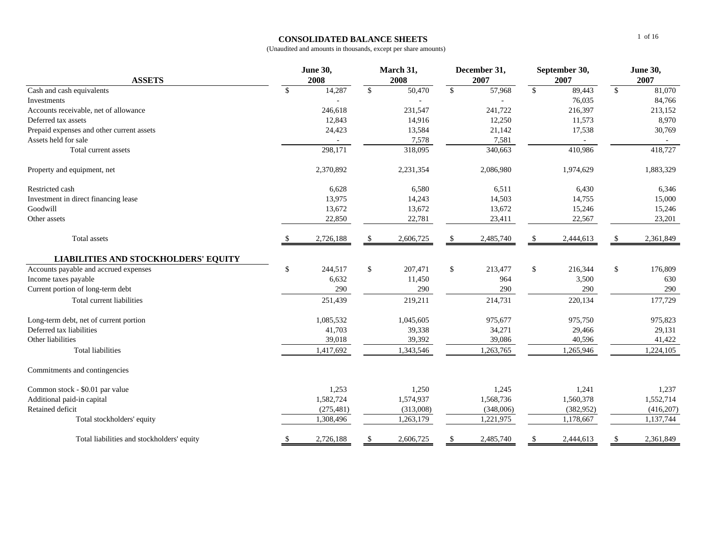## **CONSOLIDATED BALANCE SHEETS**

| <b>ASSETS</b>                               | <b>June 30,</b><br>2008 |            | March 31,<br>2008 |           | December 31,<br>2007 |           | September 30,<br>2007 |            | <b>June 30,</b><br>2007 |            |
|---------------------------------------------|-------------------------|------------|-------------------|-----------|----------------------|-----------|-----------------------|------------|-------------------------|------------|
| Cash and cash equivalents                   | $\mathbb{S}$            | 14,287     | $\mathbb{S}$      | 50,470    | $\mathbb{S}$         | 57,968    | $\mathbb{S}$          | 89,443     | $\mathcal{S}$           | 81,070     |
| Investments                                 |                         |            |                   |           |                      |           |                       | 76,035     |                         | 84,766     |
| Accounts receivable, net of allowance       |                         | 246,618    |                   | 231,547   |                      | 241,722   |                       | 216,397    |                         | 213,152    |
| Deferred tax assets                         |                         | 12,843     |                   | 14,916    |                      | 12,250    |                       | 11,573     |                         | 8,970      |
| Prepaid expenses and other current assets   |                         | 24,423     |                   | 13,584    |                      | 21,142    |                       | 17,538     |                         | 30,769     |
| Assets held for sale                        |                         |            |                   | 7,578     |                      | 7,581     |                       | $\sim$     |                         | $\sim$     |
| Total current assets                        |                         | 298,171    |                   | 318,095   |                      | 340,663   |                       | 410,986    |                         | 418,727    |
| Property and equipment, net                 |                         | 2,370,892  |                   | 2,231,354 |                      | 2,086,980 |                       | 1,974,629  |                         | 1,883,329  |
| Restricted cash                             |                         | 6,628      |                   | 6,580     |                      | 6,511     |                       | 6,430      |                         | 6,346      |
| Investment in direct financing lease        |                         | 13,975     |                   | 14,243    |                      | 14,503    |                       | 14,755     |                         | 15,000     |
| Goodwill                                    |                         | 13,672     |                   | 13,672    |                      | 13,672    |                       | 15,246     |                         | 15,246     |
| Other assets                                |                         | 22,850     |                   | 22,781    |                      | 23,411    |                       | 22,567     |                         | 23,201     |
| Total assets                                |                         | 2,726,188  | \$                | 2,606,725 | -S                   | 2,485,740 | S                     | 2,444,613  | \$                      | 2,361,849  |
| <b>LIABILITIES AND STOCKHOLDERS' EQUITY</b> |                         |            |                   |           |                      |           |                       |            |                         |            |
| Accounts payable and accrued expenses       | $\mathbf{\$}$           | 244,517    | \$                | 207,471   | $\mathbb{S}$         | 213,477   | \$                    | 216,344    | \$                      | 176,809    |
| Income taxes payable                        |                         | 6,632      |                   | 11,450    |                      | 964       |                       | 3,500      |                         | 630        |
| Current portion of long-term debt           |                         | 290        |                   | 290       |                      | 290       |                       | 290        |                         | 290        |
| Total current liabilities                   |                         | 251,439    |                   | 219,211   |                      | 214,731   |                       | 220,134    |                         | 177,729    |
| Long-term debt, net of current portion      |                         | 1,085,532  |                   | 1,045,605 |                      | 975,677   |                       | 975,750    |                         | 975,823    |
| Deferred tax liabilities                    |                         | 41,703     |                   | 39,338    |                      | 34,271    |                       | 29,466     |                         | 29,131     |
| Other liabilities                           |                         | 39,018     |                   | 39,392    |                      | 39,086    |                       | 40,596     |                         | 41,422     |
| <b>Total liabilities</b>                    |                         | 1,417,692  |                   | 1,343,546 |                      | 1,263,765 |                       | 1,265,946  |                         | 1,224,105  |
| Commitments and contingencies               |                         |            |                   |           |                      |           |                       |            |                         |            |
| Common stock - \$0.01 par value             |                         | 1,253      |                   | 1,250     |                      | 1,245     |                       | 1,241      |                         | 1,237      |
| Additional paid-in capital                  |                         | 1,582,724  |                   | 1,574,937 |                      | 1,568,736 |                       | 1,560,378  |                         | 1,552,714  |
| Retained deficit                            |                         | (275, 481) |                   | (313,008) |                      | (348,006) |                       | (382, 952) |                         | (416, 207) |
| Total stockholders' equity                  |                         | 1,308,496  |                   | 1,263,179 |                      | 1,221,975 |                       | 1,178,667  |                         | 1,137,744  |
| Total liabilities and stockholders' equity  | \$                      | 2,726,188  | \$                | 2,606,725 | \$                   | 2,485,740 | \$                    | 2,444,613  | \$                      | 2,361,849  |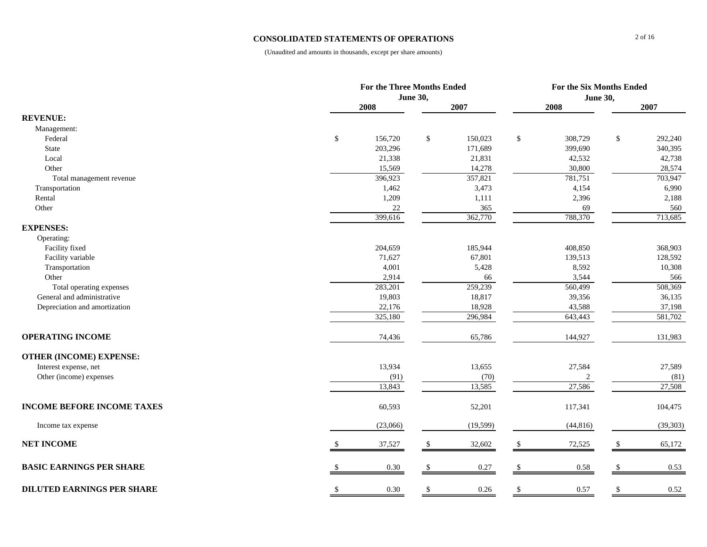## **CONSOLIDATED STATEMENTS OF OPERATIONS**

|                                   | <b>For the Three Months Ended</b> |                 |           |              | For the Six Months Ended |    |           |  |
|-----------------------------------|-----------------------------------|-----------------|-----------|--------------|--------------------------|----|-----------|--|
|                                   |                                   | <b>June 30,</b> |           |              | <b>June 30,</b>          |    |           |  |
|                                   | 2008                              |                 | 2007      |              | 2008                     |    | 2007      |  |
| <b>REVENUE:</b>                   |                                   |                 |           |              |                          |    |           |  |
| Management:                       |                                   |                 |           |              |                          |    |           |  |
| Federal                           | \$<br>156,720                     | $\mathcal{S}$   | 150,023   | \$           | 308,729                  | \$ | 292,240   |  |
| State                             | 203,296                           |                 | 171,689   |              | 399,690                  |    | 340,395   |  |
| Local                             | 21,338                            |                 | 21,831    |              | 42,532                   |    | 42,738    |  |
| Other                             | 15,569                            |                 | 14,278    |              | 30,800                   |    | 28,574    |  |
| Total management revenue          | 396,923                           |                 | 357,821   |              | 781,751                  |    | 703,947   |  |
| Transportation                    | 1,462                             |                 | 3,473     |              | 4,154                    |    | 6,990     |  |
| Rental                            | 1,209                             |                 | 1,111     |              | 2,396                    |    | 2,188     |  |
| Other                             | $22\,$                            |                 | 365       |              | 69                       |    | 560       |  |
|                                   | 399,616                           |                 | 362,770   |              | 788,370                  |    | 713,685   |  |
| <b>EXPENSES:</b>                  |                                   |                 |           |              |                          |    |           |  |
| Operating:                        |                                   |                 |           |              |                          |    |           |  |
| Facility fixed                    | 204,659                           |                 | 185,944   |              | 408,850                  |    | 368,903   |  |
| Facility variable                 | 71,627                            |                 | 67,801    |              | 139,513                  |    | 128,592   |  |
| Transportation                    | 4,001                             |                 | 5,428     |              | 8,592                    |    | 10,308    |  |
| Other                             | 2,914                             |                 | 66        |              | 3,544                    |    | 566       |  |
| Total operating expenses          | 283,201                           |                 | 259,239   |              | 560,499                  |    | 508,369   |  |
| General and administrative        | 19,803                            |                 | 18,817    |              | 39,356                   |    | 36,135    |  |
| Depreciation and amortization     | 22,176                            |                 | 18,928    |              | 43,588                   |    | 37,198    |  |
|                                   | 325,180                           |                 | 296,984   |              | 643,443                  |    | 581,702   |  |
| <b>OPERATING INCOME</b>           | 74,436                            |                 | 65,786    |              | 144,927                  |    | 131,983   |  |
| <b>OTHER (INCOME) EXPENSE:</b>    |                                   |                 |           |              |                          |    |           |  |
| Interest expense, net             | 13,934                            |                 | 13,655    |              | 27,584                   |    | 27,589    |  |
| Other (income) expenses           | (91)                              |                 | (70)      |              |                          |    | (81)      |  |
|                                   | 13,843                            |                 | 13,585    |              | 27,586                   |    | 27,508    |  |
| <b>INCOME BEFORE INCOME TAXES</b> | 60,593                            |                 | 52,201    |              | 117,341                  |    | 104,475   |  |
| Income tax expense                | (23,066)                          |                 | (19, 599) |              | (44, 816)                |    | (39, 303) |  |
| <b>NET INCOME</b>                 | 37,527                            | -S              | 32,602    | <sup>S</sup> | 72,525                   | -S | 65,172    |  |
| <b>BASIC EARNINGS PER SHARE</b>   | 0.30                              | -S              | 0.27      | \$           | 0.58                     | -S | 0.53      |  |
| <b>DILUTED EARNINGS PER SHARE</b> | \$<br>0.30                        | \$              | 0.26      | \$           | 0.57                     | \$ | 0.52      |  |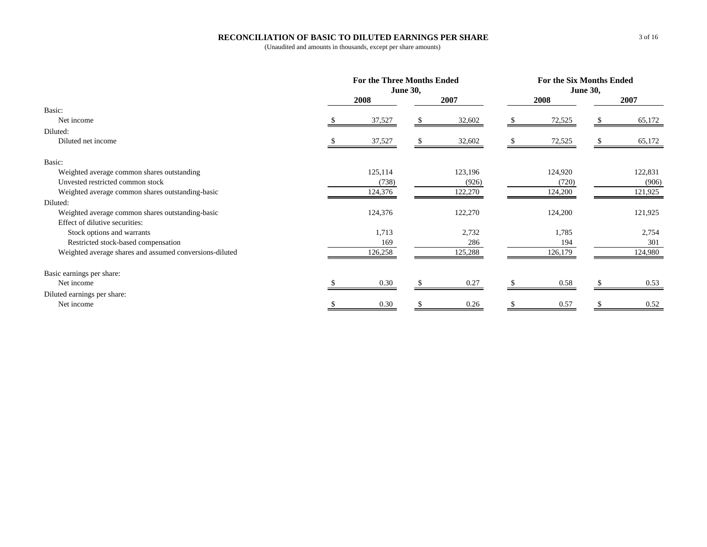## **RECONCILIATION OF BASIC TO DILUTED EARNINGS PER SHARE**

|                                                         | For the Three Months Ended<br><b>June 30,</b> |         | For the Six Months Ended<br><b>June 30,</b> |         |  |         |
|---------------------------------------------------------|-----------------------------------------------|---------|---------------------------------------------|---------|--|---------|
|                                                         | 2008                                          | 2007    |                                             | 2008    |  | 2007    |
| Basic:                                                  |                                               |         |                                             |         |  |         |
| Net income                                              | 37,527                                        | 32,602  |                                             | 72,525  |  | 65,172  |
| Diluted:                                                |                                               |         |                                             |         |  |         |
| Diluted net income                                      | 37,527                                        | 32,602  |                                             | 72,525  |  | 65,172  |
| Basic:                                                  |                                               |         |                                             |         |  |         |
| Weighted average common shares outstanding              | 125,114                                       | 123,196 |                                             | 124,920 |  | 122,831 |
| Unvested restricted common stock                        | (738)                                         | (926)   |                                             | (720)   |  | (906)   |
| Weighted average common shares outstanding-basic        | 124,376                                       | 122,270 |                                             | 124,200 |  | 121,925 |
| Diluted:                                                |                                               |         |                                             |         |  |         |
| Weighted average common shares outstanding-basic        | 124,376                                       | 122,270 |                                             | 124,200 |  | 121,925 |
| Effect of dilutive securities:                          |                                               |         |                                             |         |  |         |
| Stock options and warrants                              | 1,713                                         | 2,732   |                                             | 1,785   |  | 2,754   |
| Restricted stock-based compensation                     | 169                                           | 286     |                                             | 194     |  | 301     |
| Weighted average shares and assumed conversions-diluted | 126,258                                       | 125,288 |                                             | 126,179 |  | 124,980 |
| Basic earnings per share:                               |                                               |         |                                             |         |  |         |
| Net income                                              | 0.30                                          | 0.27    |                                             | 0.58    |  | 0.53    |
| Diluted earnings per share:                             |                                               |         |                                             |         |  |         |
| Net income                                              | 0.30                                          | 0.26    |                                             | 0.57    |  | 0.52    |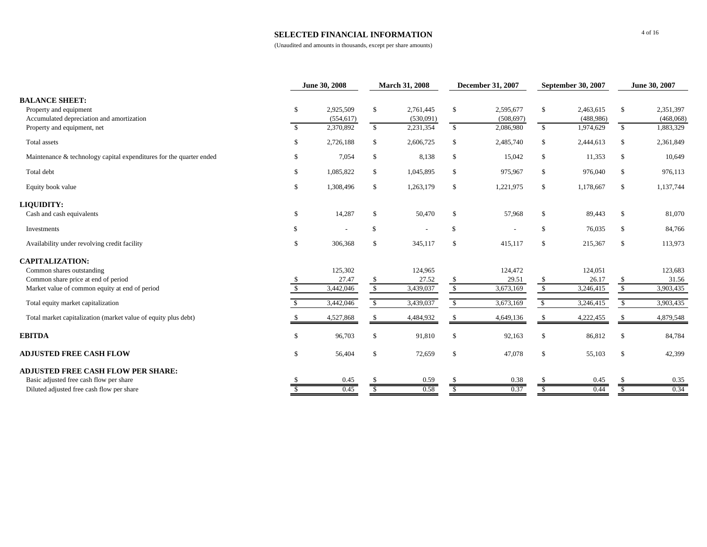## **SELECTED FINANCIAL INFORMATION**

|                                                                                              |               | June 30, 2008           |               | <b>March 31, 2008</b>  | <b>December 31, 2007</b> |                         | <b>September 30, 2007</b> |                        | June 30, 2007 |                        |
|----------------------------------------------------------------------------------------------|---------------|-------------------------|---------------|------------------------|--------------------------|-------------------------|---------------------------|------------------------|---------------|------------------------|
| <b>BALANCE SHEET:</b><br>Property and equipment<br>Accumulated depreciation and amortization | <sup>\$</sup> | 2,925,509<br>(554, 617) | \$            | 2,761,445<br>(530,091) | \$                       | 2,595,677<br>(508, 697) | \$                        | 2,463,615<br>(488,986) | \$            | 2,351,397<br>(468,068) |
| Property and equipment, net                                                                  | -\$           | 2,370,892               | $\mathbb{S}$  | 2,231,354              | $\mathbb{S}$             | 2,086,980               | $\mathbb{S}$              | 1,974,629              | $\mathbb{S}$  | 1,883,329              |
| Total assets                                                                                 | <sup>\$</sup> | 2,726,188               | \$            | 2,606,725              | \$                       | 2,485,740               | \$                        | 2,444,613              | \$            | 2,361,849              |
| Maintenance & technology capital expenditures for the quarter ended                          | S.            | 7,054                   | \$            | 8,138                  | \$                       | 15,042                  | \$                        | 11,353                 | \$            | 10,649                 |
| Total debt                                                                                   | \$            | 1,085,822               | \$            | 1,045,895              | \$                       | 975,967                 | \$                        | 976,040                | \$            | 976,113                |
| Equity book value                                                                            | \$            | 1,308,496               | $\mathbb{S}$  | 1,263,179              | \$                       | 1,221,975               | \$                        | 1,178,667              | \$            | 1,137,744              |
| <b>LIQUIDITY:</b>                                                                            |               |                         |               |                        |                          |                         |                           |                        |               |                        |
| Cash and cash equivalents                                                                    | \$            | 14,287                  | \$            | 50,470                 | <sup>\$</sup>            | 57,968                  | \$                        | 89,443                 | \$            | 81,070                 |
| Investments                                                                                  | \$.           | $\overline{a}$          | \$            |                        | \$                       |                         | $\mathbb{S}$              | 76,035                 | \$            | 84,766                 |
| Availability under revolving credit facility                                                 | \$            | 306,368                 | $\mathbb{S}$  | 345,117                | \$                       | 415,117                 | \$                        | 215,367                | \$            | 113,973                |
| <b>CAPITALIZATION:</b>                                                                       |               |                         |               |                        |                          |                         |                           |                        |               |                        |
| Common shares outstanding                                                                    |               | 125,302                 |               | 124,965                |                          | 124,472                 |                           | 124,051                |               | 123,683                |
| Common share price at end of period                                                          |               | 27.47                   | \$            | 27.52                  |                          | 29.51                   | $\$\,$                    | 26.17                  | \$            | 31.56                  |
| Market value of common equity at end of period                                               |               | 3,442,046               | $\mathcal{S}$ | 3,439,037              | $\mathbb{S}$             | 3,673,169               | $\mathbb{S}$              | 3,246,415              | $\mathbb{S}$  | 3,903,435              |
| Total equity market capitalization                                                           |               | 3,442,046               | $\mathbb{S}$  | 3,439,037              | $\mathbb{S}$             | 3,673,169               | $\mathbb{S}$              | 3,246,415              | $\mathbb{S}$  | 3,903,435              |
| Total market capitalization (market value of equity plus debt)                               |               | 4,527,868               | \$            | 4,484,932              |                          | 4,649,136               | -S                        | 4,222,455              |               | 4,879,548              |
| <b>EBITDA</b>                                                                                | $\mathcal{S}$ | 96,703                  | $\mathbb{S}$  | 91,810                 | <sup>\$</sup>            | 92,163                  | <sup>\$</sup>             | 86,812                 | \$            | 84,784                 |
| <b>ADJUSTED FREE CASH FLOW</b>                                                               | \$            | 56,404                  | $\mathbb{S}$  | 72,659                 | \$                       | 47,078                  | \$                        | 55,103                 | \$            | 42,399                 |
| <b>ADJUSTED FREE CASH FLOW PER SHARE:</b>                                                    |               |                         |               |                        |                          |                         |                           |                        |               |                        |
| Basic adjusted free cash flow per share                                                      |               | 0.45                    |               | 0.59                   |                          | 0.38                    |                           | 0.45                   |               | 0.35                   |
| Diluted adjusted free cash flow per share                                                    |               | 0.45                    |               | 0.58                   |                          | 0.37                    | <sup>S</sup>              | 0.44                   | S.            | 0.34                   |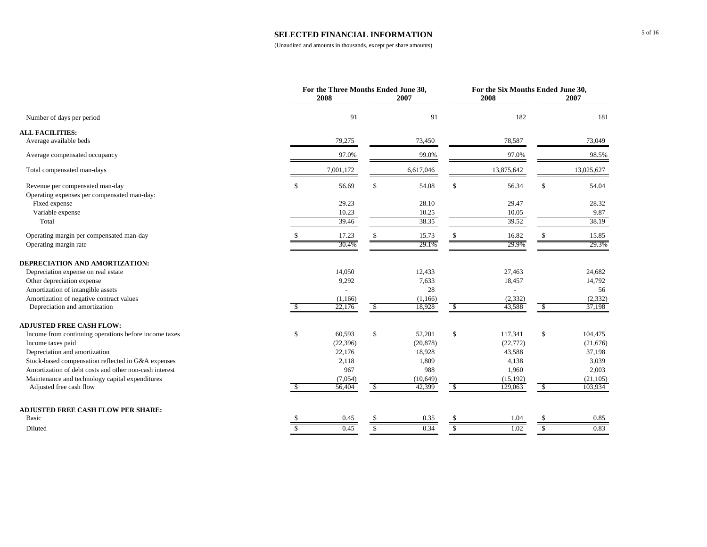## **SELECTED FINANCIAL INFORMATION**

|                                                        |               | For the Three Months Ended June 30,<br>2008 |               | 2007           |               | For the Six Months Ended June 30,<br>2008 |               | 2007          |
|--------------------------------------------------------|---------------|---------------------------------------------|---------------|----------------|---------------|-------------------------------------------|---------------|---------------|
| Number of days per period                              |               | 91                                          |               | 91             |               | 182                                       |               | 181           |
| <b>ALL FACILITIES:</b>                                 |               |                                             |               |                |               |                                           |               |               |
| Average available beds                                 |               | 79,275                                      |               | 73,450         |               | 78,587                                    |               | 73,049        |
| Average compensated occupancy                          |               | 97.0%                                       |               | 99.0%          |               | 97.0%                                     |               | 98.5%         |
| Total compensated man-days                             |               | 7,001,172                                   |               | 6,617,046      |               | 13,875,642                                |               | 13,025,627    |
| Revenue per compensated man-day                        | \$            | 56.69                                       |               | 54.08          | \$            | 56.34                                     | \$            | 54.04         |
| Operating expenses per compensated man-day:            |               |                                             |               |                |               |                                           |               |               |
| Fixed expense                                          |               | 29.23                                       |               | 28.10          |               | 29.47                                     |               | 28.32         |
| Variable expense<br>Total                              |               | 10.23<br>39.46                              |               | 10.25<br>38.35 |               | 10.05<br>39.52                            |               | 9.87<br>38.19 |
|                                                        |               |                                             |               |                |               |                                           |               |               |
| Operating margin per compensated man-day               |               | 17.23                                       |               | 15.73          | <sup>S</sup>  | 16.82                                     |               | 15.85         |
| Operating margin rate                                  |               | 30.4%                                       |               | 29.1%          |               | 29.9%                                     |               | 29.3%         |
| DEPRECIATION AND AMORTIZATION:                         |               |                                             |               |                |               |                                           |               |               |
| Depreciation expense on real estate                    |               | 14,050                                      |               | 12,433         |               | 27,463                                    |               | 24,682        |
| Other depreciation expense                             |               | 9,292                                       |               | 7,633          |               | 18,457                                    |               | 14,792        |
| Amortization of intangible assets                      |               |                                             |               | 28             |               |                                           |               | 56            |
| Amortization of negative contract values               |               | (1,166)                                     |               | (1,166)        |               | (2, 332)                                  |               | (2, 332)      |
| Depreciation and amortization                          |               | 22,176                                      | S.            | 18,928         | -S            | 43,588                                    | -S            | 37,198        |
| <b>ADJUSTED FREE CASH FLOW:</b>                        |               |                                             |               |                |               |                                           |               |               |
| Income from continuing operations before income taxes  | \$            | 60,593                                      | $\mathbb{S}$  | 52,201         | \$            | 117,341                                   | \$            | 104,475       |
| Income taxes paid                                      |               | (22, 396)                                   |               | (20, 878)      |               | (22, 772)                                 |               | (21,676)      |
| Depreciation and amortization                          |               | 22,176                                      |               | 18,928         |               | 43,588                                    |               | 37,198        |
| Stock-based compensation reflected in G&A expenses     |               | 2,118                                       |               | 1,809          |               | 4,138                                     |               | 3,039         |
| Amortization of debt costs and other non-cash interest |               | 967                                         |               | 988            |               | 1,960                                     |               | 2,003         |
| Maintenance and technology capital expenditures        |               | (7,054)                                     | \$.           | (10,649)       | <sup>\$</sup> | (15, 192)                                 |               | (21, 105)     |
| Adjusted free cash flow                                |               | 56,404                                      |               | 42,399         |               | 129,063                                   | -S            | 103,934       |
| <b>ADJUSTED FREE CASH FLOW PER SHARE:</b>              |               |                                             |               |                |               |                                           |               |               |
| Basic                                                  |               | 0.45                                        |               | 0.35           | S.            | 1.04                                      |               | 0.85          |
| Diluted                                                | $\mathcal{S}$ | 0.45                                        | <sup>\$</sup> | 0.34           | $\mathbb{S}$  | 1.02                                      | $\mathcal{S}$ | 0.83          |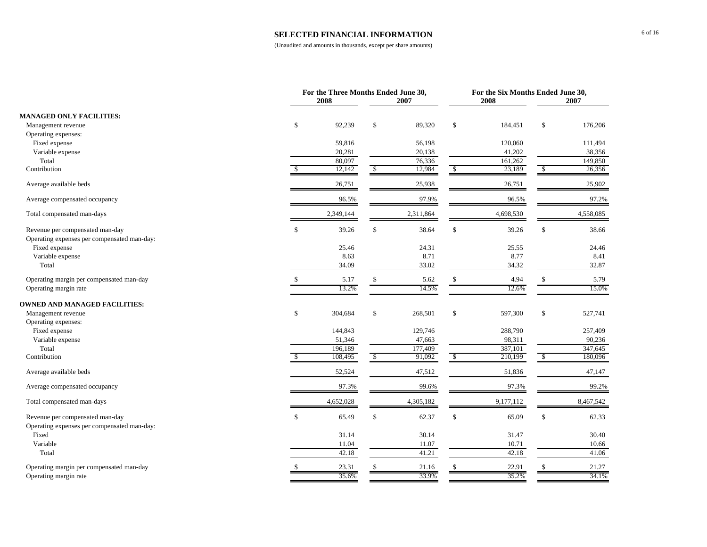#### **SELECTED FINANCIAL INFORMATION**

|                                                                                |              | For the Three Months Ended June 30,<br>2008 | 2007          |               | For the Six Months Ended June 30,<br>2008 |              | 2007      |
|--------------------------------------------------------------------------------|--------------|---------------------------------------------|---------------|---------------|-------------------------------------------|--------------|-----------|
| <b>MANAGED ONLY FACILITIES:</b>                                                |              |                                             |               |               |                                           |              |           |
| Management revenue                                                             | \$           | 92,239                                      | \$<br>89,320  | \$            | 184,451                                   | \$           | 176,206   |
| Operating expenses:                                                            |              |                                             |               |               |                                           |              |           |
| Fixed expense                                                                  |              | 59,816                                      | 56,198        |               | 120,060                                   |              | 111,494   |
| Variable expense                                                               |              | 20,281                                      | 20,138        |               | 41,202                                    |              | 38,356    |
| Total                                                                          |              | 80,097                                      | 76,336        |               | 161,262                                   |              | 149,850   |
| Contribution                                                                   | $\mathbb{S}$ | 12,142                                      | \$<br>12,984  | $\mathcal{S}$ | 23,189                                    | $\sqrt{S}$   | 26,356    |
| Average available beds                                                         |              | 26,751                                      | 25,938        |               | 26,751                                    |              | 25,902    |
| Average compensated occupancy                                                  |              | 96.5%                                       | 97.9%         |               | 96.5%                                     |              | 97.2%     |
| Total compensated man-days                                                     |              | 2,349,144                                   | 2,311,864     |               | 4,698,530                                 |              | 4,558,085 |
| Revenue per compensated man-day<br>Operating expenses per compensated man-day: | \$           | 39.26                                       | \$<br>38.64   | $\mathbb{S}$  | 39.26                                     | \$           | 38.66     |
| Fixed expense                                                                  |              | 25.46                                       | 24.31         |               | 25.55                                     |              | 24.46     |
| Variable expense                                                               |              | 8.63                                        | 8.71          |               | 8.77                                      |              | 8.41      |
| Total                                                                          |              | 34.09                                       | 33.02         |               | 34.32                                     |              | 32.87     |
| Operating margin per compensated man-day                                       |              | 5.17                                        | 5.62          | <sup>\$</sup> | 4.94                                      | \$           | 5.79      |
| Operating margin rate                                                          |              | 13.2%                                       | 14.5%         |               | 12.6%                                     |              | 15.0%     |
| <b>OWNED AND MANAGED FACILITIES:</b>                                           |              |                                             |               |               |                                           |              |           |
| Management revenue                                                             | \$           | 304,684                                     | \$<br>268,501 | \$            | 597,300                                   | $\mathbb{S}$ | 527,741   |
| Operating expenses:                                                            |              |                                             |               |               |                                           |              |           |
| Fixed expense                                                                  |              | 144,843                                     | 129,746       |               | 288,790                                   |              | 257,409   |
| Variable expense                                                               |              | 51,346                                      | 47,663        |               | 98,311                                    |              | 90,236    |
| Total                                                                          |              | 196,189                                     | 177,409       |               | 387,101                                   |              | 347,645   |
| Contribution                                                                   | \$.          | 108,495                                     | \$<br>91,092  | $\mathcal{S}$ | 210,199                                   | \$           | 180,096   |
| Average available beds                                                         |              | 52,524                                      | 47,512        |               | 51,836                                    |              | 47,147    |
| Average compensated occupancy                                                  |              | 97.3%                                       | 99.6%         |               | 97.3%                                     |              | 99.2%     |
| Total compensated man-days                                                     |              | 4,652,028                                   | 4,305,182     |               | 9,177,112                                 |              | 8,467,542 |
| Revenue per compensated man-day                                                | $\mathbf S$  | 65.49                                       | \$<br>62.37   | $\mathbb{S}$  | 65.09                                     | \$           | 62.33     |
| Operating expenses per compensated man-day:                                    |              |                                             |               |               |                                           |              |           |
| Fixed                                                                          |              | 31.14                                       | 30.14         |               | 31.47                                     |              | 30.40     |
| Variable                                                                       |              | 11.04                                       | 11.07         |               | 10.71                                     |              | 10.66     |
| Total                                                                          |              | 42.18                                       | 41.21         |               | 42.18                                     |              | 41.06     |
| Operating margin per compensated man-day                                       |              | 23.31                                       | 21.16         |               | 22.91                                     | \$.          | 21.27     |
| Operating margin rate                                                          |              | 35.6%                                       | 33.9%         |               | 35.2%                                     |              | 34.1%     |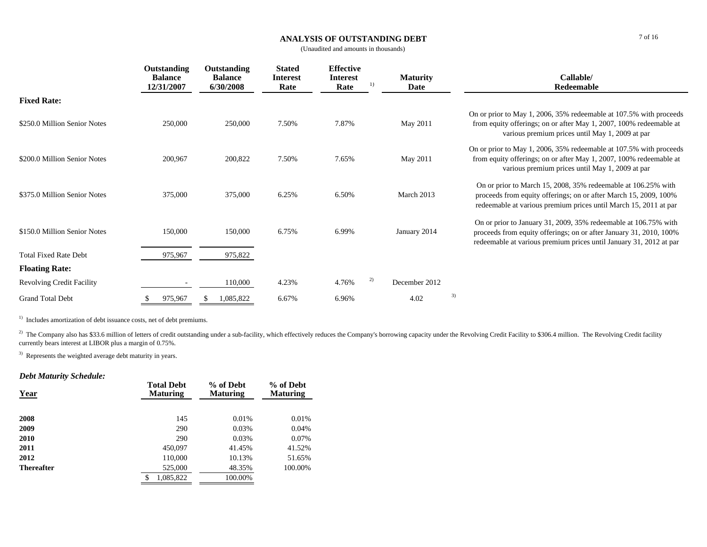## **ANALYSIS OF OUTSTANDING DEBT**

(Unaudited and amounts in thousands)

|                                  | Outstanding<br><b>Balance</b><br>12/31/2007 | Outstanding<br><b>Balance</b><br>6/30/2008 | <b>Stated</b><br><b>Interest</b><br>Rate | <b>Effective</b><br><b>Interest</b><br>Rate | 1) | <b>Maturity</b><br>Date |    | Callable/<br>Redeemable                                                                                                                                                                                     |
|----------------------------------|---------------------------------------------|--------------------------------------------|------------------------------------------|---------------------------------------------|----|-------------------------|----|-------------------------------------------------------------------------------------------------------------------------------------------------------------------------------------------------------------|
| <b>Fixed Rate:</b>               |                                             |                                            |                                          |                                             |    |                         |    |                                                                                                                                                                                                             |
| \$250.0 Million Senior Notes     | 250,000                                     | 250,000                                    | 7.50%                                    | 7.87%                                       |    | May 2011                |    | On or prior to May 1, 2006, 35% redeemable at 107.5% with proceeds<br>from equity offerings; on or after May 1, 2007, 100% redeemable at<br>various premium prices until May 1, 2009 at par                 |
| \$200.0 Million Senior Notes     | 200,967                                     | 200,822                                    | 7.50%                                    | 7.65%                                       |    | May 2011                |    | On or prior to May 1, 2006, 35% redeemable at 107.5% with proceeds<br>from equity offerings; on or after May 1, 2007, 100% redeemable at<br>various premium prices until May 1, 2009 at par                 |
| \$375.0 Million Senior Notes     | 375,000                                     | 375,000                                    | 6.25%                                    | 6.50%                                       |    | March 2013              |    | On or prior to March 15, 2008, 35% redeemable at 106.25% with<br>proceeds from equity offerings; on or after March 15, 2009, 100%<br>redeemable at various premium prices until March 15, 2011 at par       |
| \$150.0 Million Senior Notes     | 150,000                                     | 150,000                                    | 6.75%                                    | 6.99%                                       |    | January 2014            |    | On or prior to January 31, 2009, 35% redeemable at 106.75% with<br>proceeds from equity offerings; on or after January 31, 2010, 100%<br>redeemable at various premium prices until January 31, 2012 at par |
| <b>Total Fixed Rate Debt</b>     | 975,967                                     | 975,822                                    |                                          |                                             |    |                         |    |                                                                                                                                                                                                             |
| <b>Floating Rate:</b>            |                                             |                                            |                                          |                                             |    |                         |    |                                                                                                                                                                                                             |
| <b>Revolving Credit Facility</b> |                                             | 110,000                                    | 4.23%                                    | 4.76%                                       | 2) | December 2012           |    |                                                                                                                                                                                                             |
| <b>Grand Total Debt</b>          | 975,967<br>J.                               | 1,085,822                                  | 6.67%                                    | 6.96%                                       |    | 4.02                    | 3) |                                                                                                                                                                                                             |

<sup>1)</sup> Includes amortization of debt issuance costs, net of debt premiums.

<sup>2)</sup> The Company also has \$33.6 million of letters of credit outstanding under a sub-facility, which effectively reduces the Company's borrowing capacity under the Revolving Credit Facility to \$306.4 million. The Revolving currently bears interest at LIBOR plus a margin of 0.75%.

<sup>3)</sup> Represents the weighted average debt maturity in years.

## *Debt Maturity Schedule:*

| Year              | <b>Total Debt</b><br><b>Maturing</b> | % of Debt<br><b>Maturing</b> | % of Debt<br><b>Maturing</b> |
|-------------------|--------------------------------------|------------------------------|------------------------------|
| 2008              | 145                                  | 0.01%                        | 0.01%                        |
| 2009              | 290                                  | 0.03%                        | 0.04%                        |
| 2010              | 290                                  | 0.03%                        | 0.07%                        |
| 2011              | 450,097                              | 41.45%                       | 41.52%                       |
| 2012              | 110,000                              | 10.13%                       | 51.65%                       |
| <b>Thereafter</b> | 525,000                              | 48.35%                       | 100.00%                      |
|                   | 1,085,822<br>\$                      | 100.00%                      |                              |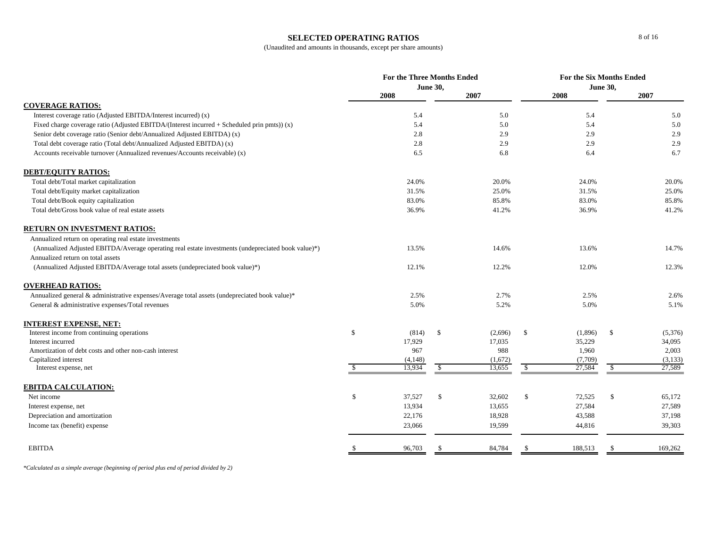#### **SELECTED OPERATING RATIOS**

## (Unaudited and amounts in thousands, except per share amounts)

|                                                                                                    |              | <b>For the Three Months Ended</b> |                 |         |              | For the Six Months Ended |                 |         |  |
|----------------------------------------------------------------------------------------------------|--------------|-----------------------------------|-----------------|---------|--------------|--------------------------|-----------------|---------|--|
|                                                                                                    |              |                                   | <b>June 30,</b> |         |              |                          | <b>June 30,</b> |         |  |
| <b>COVERAGE RATIOS:</b>                                                                            |              | 2008                              |                 | 2007    |              | 2008                     |                 | 2007    |  |
| Interest coverage ratio (Adjusted EBITDA/Interest incurred) (x)                                    |              | 5.4                               |                 | 5.0     |              | 5.4                      |                 | 5.0     |  |
| Fixed charge coverage ratio (Adjusted EBITDA/(Interest incurred + Scheduled prin pmts)) $(x)$      |              | 5.4                               |                 | 5.0     |              | 5.4                      |                 | 5.0     |  |
| Senior debt coverage ratio (Senior debt/Annualized Adjusted EBITDA) (x)                            |              | 2.8                               |                 | 2.9     |              | 2.9                      |                 | 2.9     |  |
| Total debt coverage ratio (Total debt/Annualized Adjusted EBITDA) (x)                              |              | 2.8                               |                 | 2.9     |              | 2.9                      |                 | 2.9     |  |
| Accounts receivable turnover (Annualized revenues/Accounts receivable) (x)                         |              | 6.5                               |                 | 6.8     |              | 6.4                      |                 | 6.7     |  |
| <b>DEBT/EQUITY RATIOS:</b>                                                                         |              |                                   |                 |         |              |                          |                 |         |  |
| Total debt/Total market capitalization                                                             |              | 24.0%                             |                 | 20.0%   |              | 24.0%                    |                 | 20.0%   |  |
| Total debt/Equity market capitalization                                                            |              | 31.5%                             |                 | 25.0%   |              | 31.5%                    |                 | 25.0%   |  |
| Total debt/Book equity capitalization                                                              |              | 83.0%                             |                 | 85.8%   |              | 83.0%                    |                 | 85.8%   |  |
| Total debt/Gross book value of real estate assets                                                  |              | 36.9%                             |                 | 41.2%   |              | 36.9%                    |                 | 41.2%   |  |
| <b>RETURN ON INVESTMENT RATIOS:</b>                                                                |              |                                   |                 |         |              |                          |                 |         |  |
| Annualized return on operating real estate investments                                             |              |                                   |                 |         |              |                          |                 |         |  |
| (Annualized Adjusted EBITDA/Average operating real estate investments (undepreciated book value)*) |              | 13.5%                             |                 | 14.6%   |              | 13.6%                    |                 | 14.7%   |  |
| Annualized return on total assets                                                                  |              |                                   |                 |         |              |                          |                 |         |  |
| (Annualized Adjusted EBITDA/Average total assets (undepreciated book value)*)                      |              | 12.1%                             |                 | 12.2%   |              | 12.0%                    |                 | 12.3%   |  |
|                                                                                                    |              |                                   |                 |         |              |                          |                 |         |  |
| <b>OVERHEAD RATIOS:</b>                                                                            |              |                                   |                 |         |              |                          |                 |         |  |
| Annualized general & administrative expenses/Average total assets (undepreciated book value)*      |              | 2.5%                              |                 | 2.7%    |              | 2.5%                     |                 | 2.6%    |  |
| General & administrative expenses/Total revenues                                                   |              | 5.0%                              |                 | 5.2%    |              | 5.0%                     |                 | 5.1%    |  |
| <b>INTEREST EXPENSE, NET:</b>                                                                      |              |                                   |                 |         |              |                          |                 |         |  |
| Interest income from continuing operations                                                         | $\mathbb S$  | (814)                             | $\mathbb{S}$    | (2,696) | $\mathbb{S}$ | (1,896)                  | $\mathbb{S}$    | (5,376) |  |
| Interest incurred                                                                                  |              | 17,929                            |                 | 17,035  |              | 35,229                   |                 | 34,095  |  |
| Amortization of debt costs and other non-cash interest                                             |              | 967                               |                 | 988     |              | 1,960                    |                 | 2,003   |  |
| Capitalized interest                                                                               |              | (4,148)                           |                 | (1,672) |              | (7,709)                  |                 | (3,133) |  |
| Interest expense, net                                                                              | \$.          | 13,934                            | $\sqrt{2}$      | 13,655  | $\sqrt{S}$   | 27,584                   | $\mathcal{S}$   | 27,589  |  |
| <b>EBITDA CALCULATION:</b>                                                                         |              |                                   |                 |         |              |                          |                 |         |  |
| Net income                                                                                         | $\mathbb{S}$ | 37,527                            | $\mathbb{S}$    | 32,602  | \$           | 72,525                   | $\mathbb{S}$    | 65,172  |  |
| Interest expense, net                                                                              |              | 13,934                            |                 | 13,655  |              | 27,584                   |                 | 27,589  |  |
| Depreciation and amortization                                                                      |              | 22,176                            |                 | 18,928  |              | 43,588                   |                 | 37,198  |  |
| Income tax (benefit) expense                                                                       |              | 23,066                            |                 | 19,599  |              | 44,816                   |                 | 39,303  |  |
| <b>EBITDA</b>                                                                                      | <sup>S</sup> | 96,703                            |                 | 84,784  |              | 188,513                  | -8              | 169,262 |  |
|                                                                                                    |              |                                   |                 |         |              |                          |                 |         |  |

*\*Calculated as a simple average (beginning of period plus end of period divided by 2)*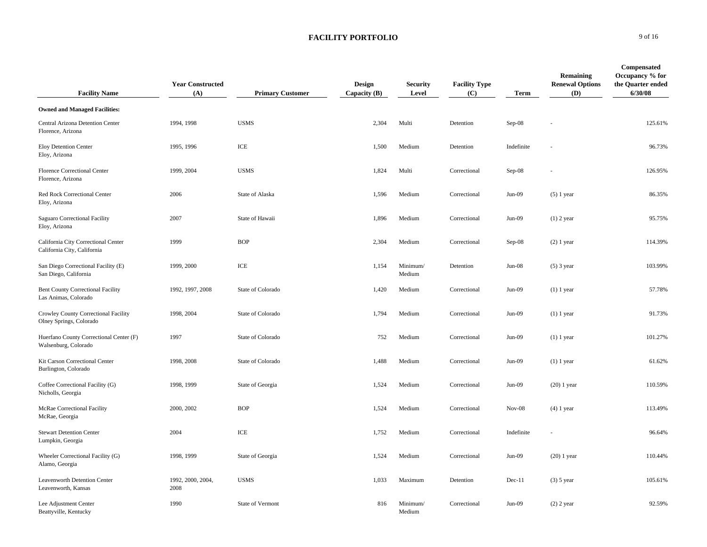| <b>Facility Name</b>                                               | <b>Year Constructed</b><br>(A) | <b>Primary Customer</b> | Design<br>Capacity (B) | <b>Security</b><br>Level | <b>Facility Type</b><br>(C) | Term       | Remaining<br><b>Renewal Options</b><br>(D) | Compensated<br>Occupancy % for<br>the Quarter ended<br>6/30/08 |
|--------------------------------------------------------------------|--------------------------------|-------------------------|------------------------|--------------------------|-----------------------------|------------|--------------------------------------------|----------------------------------------------------------------|
| <b>Owned and Managed Facilities:</b>                               |                                |                         |                        |                          |                             |            |                                            |                                                                |
| Central Arizona Detention Center<br>Florence, Arizona              | 1994, 1998                     | <b>USMS</b>             | 2,304                  | Multi                    | Detention                   | $Sep-08$   |                                            | 125.61%                                                        |
| Eloy Detention Center<br>Eloy, Arizona                             | 1995, 1996                     | ICE                     | 1,500                  | Medium                   | Detention                   | Indefinite |                                            | 96.73%                                                         |
| <b>Florence Correctional Center</b><br>Florence, Arizona           | 1999, 2004                     | <b>USMS</b>             | 1,824                  | Multi                    | Correctional                | $Sep-08$   |                                            | 126.95%                                                        |
| Red Rock Correctional Center<br>Eloy, Arizona                      | 2006                           | State of Alaska         | 1,596                  | Medium                   | Correctional                | $Jun-09$   | $(5)$ 1 year                               | 86.35%                                                         |
| Saguaro Correctional Facility<br>Eloy, Arizona                     | 2007                           | State of Hawaii         | 1,896                  | Medium                   | Correctional                | $Jun-09$   | $(1)$ 2 year                               | 95.75%                                                         |
| California City Correctional Center<br>California City, California | 1999                           | <b>BOP</b>              | 2,304                  | Medium                   | Correctional                | Sep-08     | $(2)$ 1 year                               | 114.39%                                                        |
| San Diego Correctional Facility (E)<br>San Diego, California       | 1999, 2000                     | ICE                     | 1,154                  | Minimum/<br>Medium       | Detention                   | $Jun-08$   | $(5)$ 3 year                               | 103.99%                                                        |
| <b>Bent County Correctional Facility</b><br>Las Animas, Colorado   | 1992, 1997, 2008               | State of Colorado       | 1,420                  | Medium                   | Correctional                | $Jun-09$   | $(1)$ 1 year                               | 57.78%                                                         |
| Crowley County Correctional Facility<br>Olney Springs, Colorado    | 1998, 2004                     | State of Colorado       | 1,794                  | Medium                   | Correctional                | $Jun-09$   | $(1)$ 1 year                               | 91.73%                                                         |
| Huerfano County Correctional Center (F)<br>Walsenburg, Colorado    | 1997                           | State of Colorado       | 752                    | Medium                   | Correctional                | $Jun-09$   | $(1)$ 1 year                               | 101.27%                                                        |
| Kit Carson Correctional Center<br>Burlington, Colorado             | 1998, 2008                     | State of Colorado       | 1,488                  | Medium                   | Correctional                | $Jun-09$   | $(1)$ 1 year                               | 61.62%                                                         |
| Coffee Correctional Facility (G)<br>Nicholls, Georgia              | 1998, 1999                     | State of Georgia        | 1,524                  | Medium                   | Correctional                | $Jun-09$   | $(20)$ 1 year                              | 110.59%                                                        |
| McRae Correctional Facility<br>McRae, Georgia                      | 2000, 2002                     | <b>BOP</b>              | 1,524                  | Medium                   | Correctional                | $Nov-08$   | $(4)$ 1 year                               | 113.49%                                                        |
| <b>Stewart Detention Center</b><br>Lumpkin, Georgia                | 2004                           | ICE                     | 1,752                  | Medium                   | Correctional                | Indefinite |                                            | 96.64%                                                         |
| Wheeler Correctional Facility (G)<br>Alamo, Georgia                | 1998, 1999                     | State of Georgia        | 1,524                  | Medium                   | Correctional                | $Jun-09$   | $(20)$ 1 year                              | 110.44%                                                        |
| <b>Leavenworth Detention Center</b><br>Leavenworth, Kansas         | 1992, 2000, 2004,<br>2008      | <b>USMS</b>             | 1,033                  | Maximum                  | Detention                   | $Dec-11$   | $(3)$ 5 year                               | 105.61%                                                        |
| Lee Adjustment Center<br>Beattyville, Kentucky                     | 1990                           | <b>State of Vermont</b> | 816                    | Minimum/<br>Medium       | Correctional                | $Jun-09$   | $(2)$ 2 year                               | 92.59%                                                         |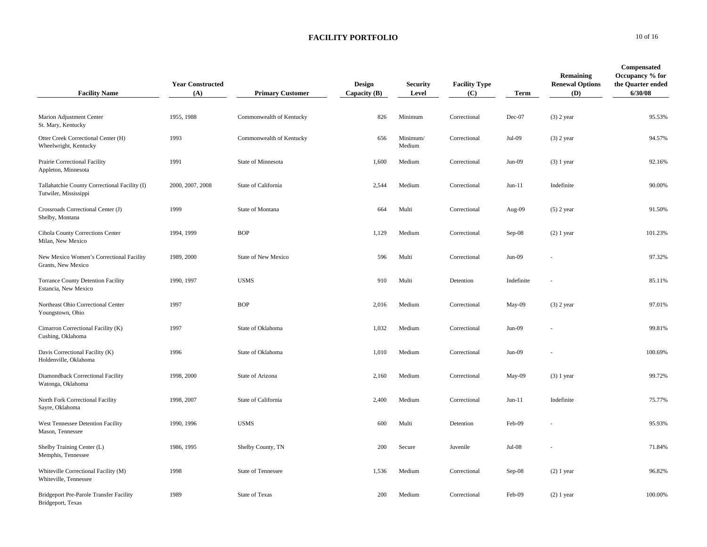| <b>Facility Name</b>                                                   | <b>Year Constructed</b><br>(A) | <b>Primary Customer</b>  | <b>Design</b><br>Capacity $(B)$ | <b>Security</b><br>Level | <b>Facility Type</b><br>(C) | Term       | Remaining<br><b>Renewal Options</b><br>(D) | Compensated<br>Occupancy % for<br>the Quarter ended<br>6/30/08 |
|------------------------------------------------------------------------|--------------------------------|--------------------------|---------------------------------|--------------------------|-----------------------------|------------|--------------------------------------------|----------------------------------------------------------------|
| Marion Adjustment Center<br>St. Mary, Kentucky                         | 1955, 1988                     | Commonwealth of Kentucky | 826                             | Minimum                  | Correctional                | Dec-07     | $(3)$ 2 year                               | 95.53%                                                         |
| Otter Creek Correctional Center (H)<br>Wheelwright, Kentucky           | 1993                           | Commonwealth of Kentucky | 656                             | Minimum/<br>Medium       | Correctional                | Jul-09     | $(3)$ 2 year                               | 94.57%                                                         |
| Prairie Correctional Facility<br>Appleton, Minnesota                   | 1991                           | State of Minnesota       | 1,600                           | Medium                   | Correctional                | $Jun-09$   | $(3)$ 1 year                               | 92.16%                                                         |
| Tallahatchie County Correctional Facility (I)<br>Tutwiler, Mississippi | 2000, 2007, 2008               | State of California      | 2,544                           | Medium                   | Correctional                | $Jun-11$   | Indefinite                                 | 90.00%                                                         |
| Crossroads Correctional Center (J)<br>Shelby, Montana                  | 1999                           | State of Montana         | 664                             | Multi                    | Correctional                | Aug-09     | $(5)$ 2 year                               | 91.50%                                                         |
| Cibola County Corrections Center<br>Milan, New Mexico                  | 1994, 1999                     | <b>BOP</b>               | 1,129                           | Medium                   | Correctional                | $Sep-08$   | $(2)$ 1 year                               | 101.23%                                                        |
| New Mexico Women's Correctional Facility<br>Grants, New Mexico         | 1989, 2000                     | State of New Mexico      | 596                             | Multi                    | Correctional                | $Jun-09$   |                                            | 97.32%                                                         |
| <b>Torrance County Detention Facility</b><br>Estancia, New Mexico      | 1990, 1997                     | <b>USMS</b>              | 910                             | Multi                    | Detention                   | Indefinite |                                            | 85.11%                                                         |
| Northeast Ohio Correctional Center<br>Youngstown, Ohio                 | 1997                           | <b>BOP</b>               | 2,016                           | Medium                   | Correctional                | May-09     | $(3)$ 2 year                               | 97.01%                                                         |
| Cimarron Correctional Facility (K)<br>Cushing, Oklahoma                | 1997                           | State of Oklahoma        | 1,032                           | Medium                   | Correctional                | $Jun-09$   |                                            | 99.81%                                                         |
| Davis Correctional Facility (K)<br>Holdenville, Oklahoma               | 1996                           | State of Oklahoma        | 1,010                           | Medium                   | Correctional                | $Jun-09$   |                                            | 100.69%                                                        |
| Diamondback Correctional Facility<br>Watonga, Oklahoma                 | 1998, 2000                     | State of Arizona         | 2,160                           | Medium                   | Correctional                | May-09     | $(3)$ 1 year                               | 99.72%                                                         |
| North Fork Correctional Facility<br>Sayre, Oklahoma                    | 1998, 2007                     | State of California      | 2,400                           | Medium                   | Correctional                | $Jun-11$   | Indefinite                                 | 75.77%                                                         |
| West Tennessee Detention Facility<br>Mason, Tennessee                  | 1990, 1996                     | <b>USMS</b>              | 600                             | Multi                    | Detention                   | Feb-09     |                                            | 95.93%                                                         |
| Shelby Training Center (L)<br>Memphis, Tennessee                       | 1986, 1995                     | Shelby County, TN        | 200                             | Secure                   | Juvenile                    | Jul-08     |                                            | 71.84%                                                         |
| Whiteville Correctional Facility (M)<br>Whiteville, Tennessee          | 1998                           | State of Tennessee       | 1,536                           | Medium                   | Correctional                | Sep-08     | $(2)$ 1 year                               | 96.82%                                                         |
| Bridgeport Pre-Parole Transfer Facility<br>Bridgeport, Texas           | 1989                           | <b>State of Texas</b>    | 200                             | Medium                   | Correctional                | Feb-09     | $(2)$ 1 year                               | 100.00%                                                        |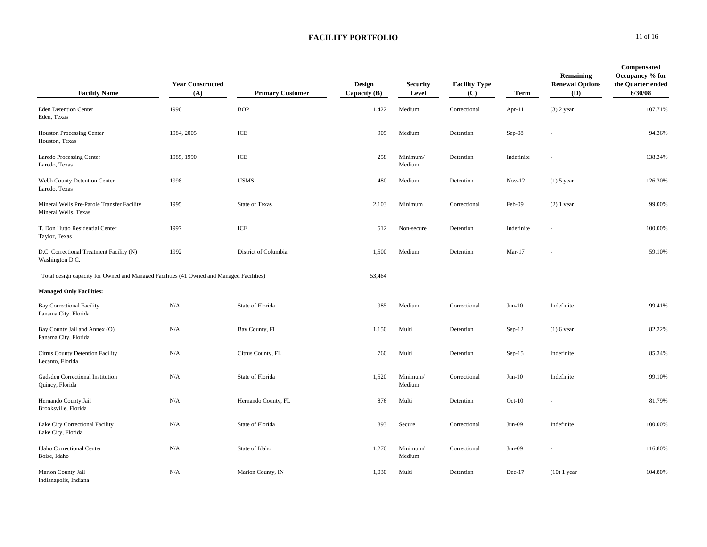| <b>Facility Name</b>                                                                     | <b>Year Constructed</b><br>(A) | <b>Primary Customer</b> | Design<br>Capacity $(B)$ | <b>Security</b><br>Level | <b>Facility Type</b><br>(C) | Term       | Remaining<br><b>Renewal Options</b><br>(D) | Compensated<br>Occupancy % for<br>the Quarter ended<br>6/30/08 |
|------------------------------------------------------------------------------------------|--------------------------------|-------------------------|--------------------------|--------------------------|-----------------------------|------------|--------------------------------------------|----------------------------------------------------------------|
| <b>Eden Detention Center</b><br>Eden, Texas                                              | 1990                           | <b>BOP</b>              | 1,422                    | Medium                   | Correctional                | Apr- $11$  | $(3)$ 2 year                               | 107.71%                                                        |
| <b>Houston Processing Center</b><br>Houston, Texas                                       | 1984, 2005                     | ICE                     | 905                      | Medium                   | Detention                   | Sep-08     |                                            | 94.36%                                                         |
| <b>Laredo Processing Center</b><br>Laredo, Texas                                         | 1985, 1990                     | ICE                     | 258                      | Minimum/<br>Medium       | Detention                   | Indefinite |                                            | 138.34%                                                        |
| Webb County Detention Center<br>Laredo, Texas                                            | 1998                           | <b>USMS</b>             | 480                      | Medium                   | Detention                   | $Nov-12$   | $(1)$ 5 year                               | 126.30%                                                        |
| Mineral Wells Pre-Parole Transfer Facility<br>Mineral Wells, Texas                       | 1995                           | <b>State of Texas</b>   | 2,103                    | Minimum                  | Correctional                | Feb-09     | $(2)$ 1 year                               | 99.00%                                                         |
| T. Don Hutto Residential Center<br>Taylor, Texas                                         | 1997                           | ICE                     | 512                      | Non-secure               | Detention                   | Indefinite |                                            | 100.00%                                                        |
| D.C. Correctional Treatment Facility (N)<br>Washington D.C.                              | 1992                           | District of Columbia    | 1,500                    | Medium                   | Detention                   | $Mar-17$   |                                            | 59.10%                                                         |
| Total design capacity for Owned and Managed Facilities (41 Owned and Managed Facilities) |                                |                         | 53,464                   |                          |                             |            |                                            |                                                                |
| <b>Managed Only Facilities:</b>                                                          |                                |                         |                          |                          |                             |            |                                            |                                                                |
| <b>Bay Correctional Facility</b><br>Panama City, Florida                                 | N/A                            | State of Florida        | 985                      | Medium                   | Correctional                | $Jun-10$   | Indefinite                                 | 99.41%                                                         |
| Bay County Jail and Annex (O)<br>Panama City, Florida                                    | N/A                            | Bay County, FL          | 1,150                    | Multi                    | Detention                   | $Sep-12$   | $(1)$ 6 year                               | 82.22%                                                         |
| Citrus County Detention Facility<br>Lecanto, Florida                                     | N/A                            | Citrus County, FL       | 760                      | Multi                    | Detention                   | $Sep-15$   | Indefinite                                 | 85.34%                                                         |
| Gadsden Correctional Institution<br>Quincy, Florida                                      | N/A                            | State of Florida        | 1,520                    | Minimum/<br>Medium       | Correctional                | $Jun-10$   | Indefinite                                 | 99.10%                                                         |
| Hernando County Jail<br>Brooksville, Florida                                             | N/A                            | Hernando County, FL     | 876                      | Multi                    | Detention                   | $Oct-10$   |                                            | 81.79%                                                         |
| Lake City Correctional Facility<br>Lake City, Florida                                    | N/A                            | State of Florida        | 893                      | Secure                   | Correctional                | $Jun-09$   | Indefinite                                 | 100.00%                                                        |
| Idaho Correctional Center<br>Boise, Idaho                                                | N/A                            | State of Idaho          | 1,270                    | Minimum/<br>Medium       | Correctional                | Jun-09     |                                            | 116.80%                                                        |
| Marion County Jail<br>Indianapolis, Indiana                                              | N/A                            | Marion County, IN       | 1,030                    | Multi                    | Detention                   | $Dec-17$   | $(10)$ 1 year                              | 104.80%                                                        |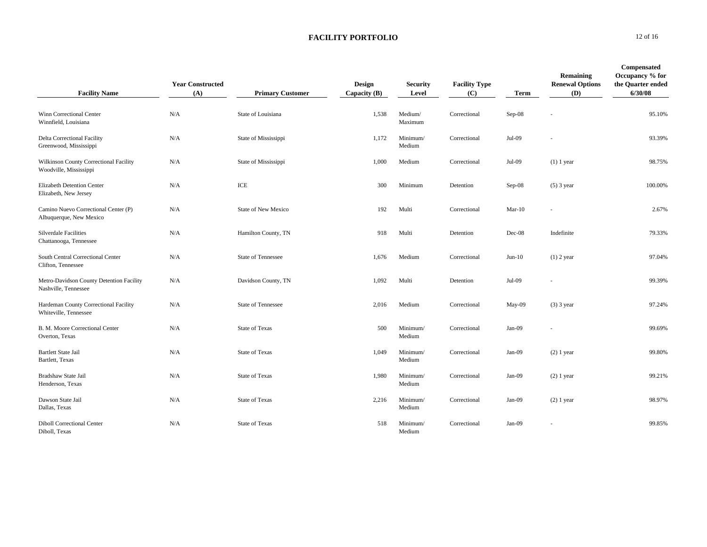| <b>Facility Name</b>                                             | <b>Year Constructed</b><br>(A) | <b>Primary Customer</b>    | Design<br>Capacity (B) | <b>Security</b><br>Level | <b>Facility Type</b><br>(C) | <b>Term</b> | Remaining<br><b>Renewal Options</b><br>(D) | Compensated<br>Occupancy % for<br>the Quarter ended<br>6/30/08 |
|------------------------------------------------------------------|--------------------------------|----------------------------|------------------------|--------------------------|-----------------------------|-------------|--------------------------------------------|----------------------------------------------------------------|
| Winn Correctional Center<br>Winnfield, Louisiana                 | N/A                            | State of Louisiana         | 1,538                  | Medium/<br>Maximum       | Correctional                | Sep-08      |                                            | 95.10%                                                         |
| <b>Delta Correctional Facility</b><br>Greenwood, Mississippi     | N/A                            | State of Mississippi       | 1,172                  | Minimum/<br>Medium       | Correctional                | Jul-09      |                                            | 93.39%                                                         |
| Wilkinson County Correctional Facility<br>Woodville, Mississippi | N/A                            | State of Mississippi       | 1,000                  | Medium                   | Correctional                | Jul-09      | $(1)$ 1 year                               | 98.75%                                                         |
| Elizabeth Detention Center<br>Elizabeth, New Jersey              | N/A                            | ICE                        | 300                    | Minimum                  | Detention                   | $Sep-08$    | $(5)$ 3 year                               | 100.00%                                                        |
| Camino Nuevo Correctional Center (P)<br>Albuquerque, New Mexico  | N/A                            | <b>State of New Mexico</b> | 192                    | Multi                    | Correctional                | $Mar-10$    |                                            | 2.67%                                                          |
| <b>Silverdale Facilities</b><br>Chattanooga, Tennessee           | N/A                            | Hamilton County, TN        | 918                    | Multi                    | Detention                   | Dec-08      | Indefinite                                 | 79.33%                                                         |
| South Central Correctional Center<br>Clifton, Tennessee          | N/A                            | <b>State of Tennessee</b>  | 1,676                  | Medium                   | Correctional                | $Jun-10$    | $(1)$ 2 year                               | 97.04%                                                         |
| Metro-Davidson County Detention Facility<br>Nashville, Tennessee | N/A                            | Davidson County, TN        | 1,092                  | Multi                    | Detention                   | Jul-09      |                                            | 99.39%                                                         |
| Hardeman County Correctional Facility<br>Whiteville, Tennessee   | N/A                            | <b>State of Tennessee</b>  | 2,016                  | Medium                   | Correctional                | May-09      | $(3)$ 3 year                               | 97.24%                                                         |
| B. M. Moore Correctional Center<br>Overton, Texas                | N/A                            | <b>State of Texas</b>      | 500                    | Minimum/<br>Medium       | Correctional                | Jan-09      |                                            | 99.69%                                                         |
| <b>Bartlett State Jail</b><br>Bartlett, Texas                    | N/A                            | <b>State of Texas</b>      | 1,049                  | Minimum/<br>Medium       | Correctional                | Jan-09      | $(2)$ 1 year                               | 99.80%                                                         |
| Bradshaw State Jail<br>Henderson, Texas                          | N/A                            | <b>State of Texas</b>      | 1,980                  | Minimum/<br>Medium       | Correctional                | Jan-09      | $(2)$ 1 year                               | 99.21%                                                         |
| Dawson State Jail<br>Dallas, Texas                               | N/A                            | <b>State of Texas</b>      | 2,216                  | Minimum/<br>Medium       | Correctional                | $Jan-09$    | $(2)$ 1 year                               | 98.97%                                                         |
| <b>Diboll Correctional Center</b><br>Diboll, Texas               | N/A                            | <b>State of Texas</b>      | 518                    | Minimum/<br>Medium       | Correctional                | Jan-09      |                                            | 99.85%                                                         |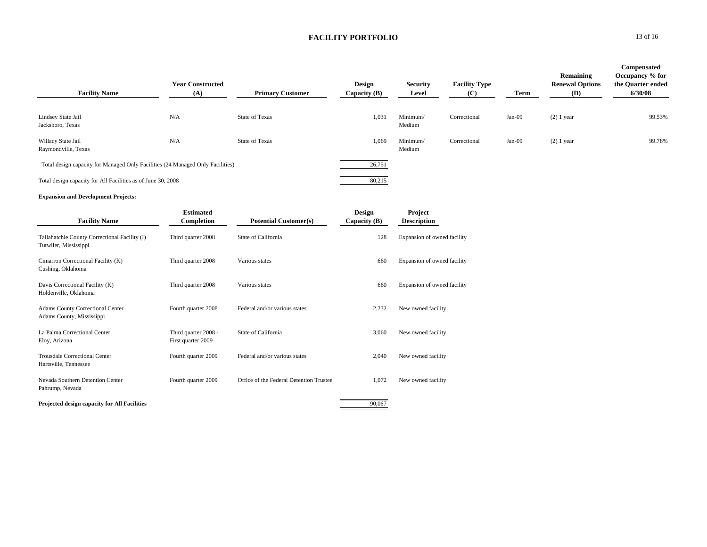| <b>Facility Name</b>                                                           | <b>Year Constructed</b><br>(A) | <b>Primary Customer</b> | <b>Design</b><br>Capacity (B) | <b>Security</b><br>Level | <b>Facility Type</b><br>(C) | Term     | Remaining<br><b>Renewal Options</b><br>(D) | Compensated<br>Occupancy % for<br>the Quarter ended<br>6/30/08 |
|--------------------------------------------------------------------------------|--------------------------------|-------------------------|-------------------------------|--------------------------|-----------------------------|----------|--------------------------------------------|----------------------------------------------------------------|
| Lindsey State Jail<br>Jacksboro, Texas                                         | N/A                            | <b>State of Texas</b>   | 1,031                         | Minimum/<br>Medium       | Correctional                | $Jan-09$ | $(2)$ 1 year                               | 99.53%                                                         |
| Willacy State Jail<br>Raymondville, Texas                                      | N/A                            | <b>State of Texas</b>   | 1,069                         | Minimum/<br>Medium       | Correctional                | $Jan-09$ | $(2)$ 1 year                               | 99.78%                                                         |
| Total design capacity for Managed Only Facilities (24 Managed Only Facilities) |                                |                         | 26,751                        |                          |                             |          |                                            |                                                                |
| Total design capacity for All Facilities as of June 30, 2008                   |                                |                         | 80,215                        |                          |                             |          |                                            |                                                                |

#### **Expansion and Development Projects:**

| <b>Facility Name</b>                                                   | <b>Estimated</b><br>Completion             | <b>Potential Customer(s)</b>            | Design<br>Capacity $(B)$ | Project<br><b>Description</b> |
|------------------------------------------------------------------------|--------------------------------------------|-----------------------------------------|--------------------------|-------------------------------|
| Tallahatchie County Correctional Facility (I)<br>Tutwiler, Mississippi | Third quarter 2008                         | State of California                     | 128                      | Expansion of owned facility   |
| Cimarron Correctional Facility (K)<br>Cushing, Oklahoma                | Third quarter 2008                         | Various states                          | 660                      | Expansion of owned facility   |
| Davis Correctional Facility (K)<br>Holdenville, Oklahoma               | Third quarter 2008                         | Various states                          | 660                      | Expansion of owned facility   |
| <b>Adams County Correctional Center</b><br>Adams County, Mississippi   | Fourth quarter 2008                        | Federal and/or various states           | 2,232                    | New owned facility            |
| La Palma Correctional Center<br>Eloy, Arizona                          | Third quarter 2008 -<br>First quarter 2009 | State of California                     | 3,060                    | New owned facility            |
| <b>Trousdale Correctional Center</b><br>Hartsville, Tennessee          | Fourth quarter 2009                        | Federal and/or various states           | 2,040                    | New owned facility            |
| Nevada Southern Detention Center<br>Pahrump, Nevada                    | Fourth quarter 2009                        | Office of the Federal Detention Trustee | 1,072                    | New owned facility            |

**Projected design capacity for All Facilities** 90,067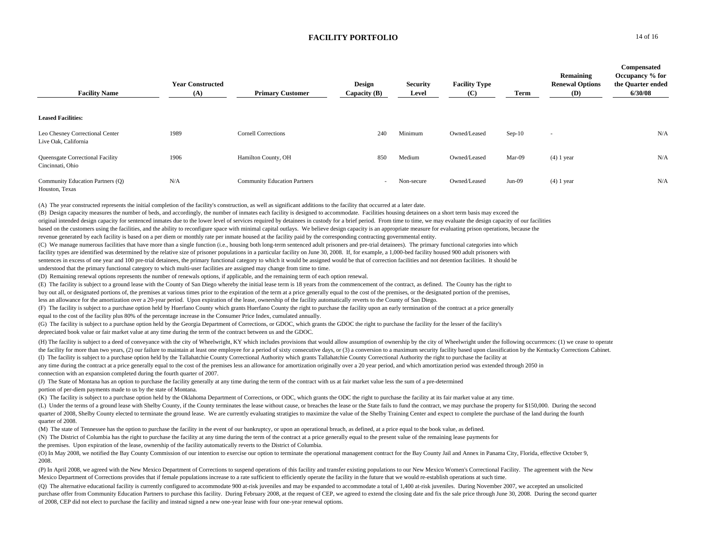| <b>Facility Name</b>                                    | <b>Year Constructed</b><br>(A) | <b>Primary Customer</b>             | <b>Design</b><br>Capacity (B) | <b>Security</b><br>Level | <b>Facility Type</b><br>(C) | Term     | Remaining<br><b>Renewal Options</b><br>(D) | Compensated<br>Occupancy % for<br>the Quarter ended<br>6/30/08 |
|---------------------------------------------------------|--------------------------------|-------------------------------------|-------------------------------|--------------------------|-----------------------------|----------|--------------------------------------------|----------------------------------------------------------------|
| <b>Leased Facilities:</b>                               |                                |                                     |                               |                          |                             |          |                                            |                                                                |
| Leo Chesney Correctional Center<br>Live Oak, California | 1989                           | <b>Cornell Corrections</b>          | 240                           | Minimum                  | Owned/Leased                | $Sep-10$ | $\sim$                                     | N/A                                                            |
| Queensgate Correctional Facility<br>Cincinnati, Ohio    | 1906                           | Hamilton County, OH                 | 850                           | Medium                   | Owned/Leased                | Mar-09   | $(4)$ 1 year                               | N/A                                                            |
| Community Education Partners (Q)<br>Houston, Texas      | N/A                            | <b>Community Education Partners</b> | $\sim$                        | Non-secure               | Owned/Leased                | $Jun-09$ | $(4)$ 1 year                               | N/A                                                            |

(A) The year constructed represents the initial completion of the facility's construction, as well as significant additions to the facility that occurred at a later date.

(B) Design capacity measures the number of beds, and accordingly, the number of inmates each facility is designed to accommodate. Facilities housing detainees on a short term basis may exceed the original intended design capacity for sentenced inmates due to the lower level of services required by detainees in custody for a brief period. From time to time, we may evaluate the design capacity of our facilities based on the customers using the facilities, and the ability to reconfigure space with minimal capital outlays. We believe design capacity is an appropriate measure for evaluating prison operations, because the revenue generated by each facility is based on a per diem or monthly rate per inmate housed at the facility paid by the corresponding contracting governmental entity.

(C) We manage numerous facilities that have more than a single function (i.e., housing both long-term sentenced adult prisoners and pre-trial detainees). The primary functional categories into which facility types are identified was determined by the relative size of prisoner populations in a particular facility on June 30, 2008. If, for example, a 1,000-bed facility housed 900 adult prisoners with sentences in excess of one year and 100 pre-trial detainees, the primary functional category to which it would be assigned would be that of correction facilities and not detention facilities. It should be understood that the primary functional category to which multi-user facilities are assigned may change from time to time.

(D) Remaining renewal options represents the number of renewals options, if applicable, and the remaining term of each option renewal.

(E) The facility is subject to a ground lease with the County of San Diego whereby the initial lease term is 18 years from the commencement of the contract, as defined. The County has the right to

buy out all, or designated portions of, the premises at various times prior to the expiration of the term at a price generally equal to the cost of the premises, or the designated portion of the premises,

less an allowance for the amortization over a 20-year period. Upon expiration of the lease, ownership of the facility automatically reverts to the County of San Diego.

(F) The facility is subject to a purchase option held by Huerfano County which grants Huerfano County the right to purchase the facility upon an early termination of the contract at a price generally equal to the cost of the facility plus 80% of the percentage increase in the Consumer Price Index, cumulated annually.

(G) The facility is subject to a purchase option held by the Georgia Department of Corrections, or GDOC, which grants the GDOC the right to purchase the facility for the lesser of the facility's depreciated book value or fair market value at any time during the term of the contract between us and the GDOC.

(I) The facility is subject to a purchase option held by the Tallahatchie County Correctional Authority which grants Tallahatchie County Correctional Authority the right to purchase the facility at (H) The facility is subject to a deed of conveyance with the city of Wheelwright, KY which includes provisions that would allow assumption of ownership by the city of Wheelwright under the following occurrences: (1) we cea the facility for more than two years, (2) our failure to maintain at least one employee for a period of sixty consecutive days, or (3) a conversion to a maximum security facility based upon classification by the Kentucky C

any time during the contract at a price generally equal to the cost of the premises less an allowance for amortization originally over a 20 year period, and which amortization period was extended through 2050 in connection with an expansion completed during the fourth quarter of 2007.

(J) The State of Montana has an option to purchase the facility generally at any time during the term of the contract with us at fair market value less the sum of a pre-determined portion of per-diem payments made to us by the state of Montana.

(K) The facility is subject to a purchase option held by the Oklahoma Department of Corrections, or ODC, which grants the ODC the right to purchase the facility at its fair market value at any time.

(L) Under the terms of a ground lease with Shelby County, if the County terminates the lease without cause, or breaches the lease or the State fails to fund the contract, we may purchase the property for \$150,000. During t quarter of 2008, Shelby County elected to terminate the ground lease. We are currently evaluating stratigies to maximize the value of the Shelby Training Center and expect to complete the purchase of the land during the fo quarter of 2008.

(M) The state of Tennessee has the option to purchase the facility in the event of our bankruptcy, or upon an operational breach, as defined, at a price equal to the book value, as defined.

(N) The District of Columbia has the right to purchase the facility at any time during the term of the contract at a price generally equal to the present value of the remaining lease payments for

the premises. Upon expiration of the lease, ownership of the facility automatically reverts to the District of Columbia.

(O) In May 2008, we notified the Bay County Commission of our intention to exercise our option to terminate the operational management contract for the Bay County Jail and Annex in Panama City, Florida, effective October 9, 2008.

(P) In April 2008, we agreed with the New Mexico Department of Corrections to suspend operations of this facility and transfer existing populations to our New Mexico Women's Correctional Facility. The agreement with the New Mexico Department of Corrections provides that if female populations increase to a rate sufficient to efficiently operate the facility in the future that we would re-establish operations at such time.

(Q) The alternative educational facility is currently configured to accommodate 900 at-risk juveniles and may be expanded to accommodate a total of 1,400 at-risk juveniles. During November 2007, we accepted an unsolicited purchase offer from Community Education Partners to purchase this facility. During February 2008, at the request of CEP, we agreed to extend the closing date and fix the sale price through June 30, 2008. During the second of 2008, CEP did not elect to purchase the facility and instead signed a new one-year lease with four one-year renewal options.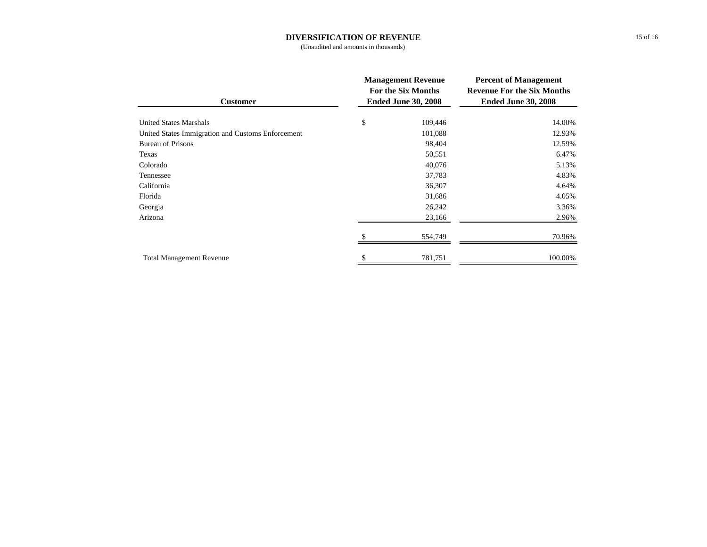## **DIVERSIFICATION OF REVENUE**

(Unaudited and amounts in thousands)

| <b>Customer</b>                                   | <b>Management Revenue</b><br>For the Six Months<br><b>Ended June 30, 2008</b> |         | <b>Percent of Management</b><br><b>Revenue For the Six Months</b><br><b>Ended June 30, 2008</b> |  |
|---------------------------------------------------|-------------------------------------------------------------------------------|---------|-------------------------------------------------------------------------------------------------|--|
| <b>United States Marshals</b>                     | \$                                                                            | 109,446 | 14.00%                                                                                          |  |
| United States Immigration and Customs Enforcement |                                                                               | 101,088 | 12.93%                                                                                          |  |
| <b>Bureau of Prisons</b>                          |                                                                               | 98,404  | 12.59%                                                                                          |  |
| Texas                                             |                                                                               | 50,551  | 6.47%                                                                                           |  |
| Colorado                                          |                                                                               | 40,076  | 5.13%                                                                                           |  |
| Tennessee                                         |                                                                               | 37,783  | 4.83%                                                                                           |  |
| California                                        |                                                                               | 36,307  | 4.64%                                                                                           |  |
| Florida                                           |                                                                               | 31,686  | 4.05%                                                                                           |  |
| Georgia                                           |                                                                               | 26,242  | 3.36%                                                                                           |  |
| Arizona                                           |                                                                               | 23,166  | 2.96%                                                                                           |  |
|                                                   |                                                                               | 554,749 | 70.96%                                                                                          |  |
| <b>Total Management Revenue</b>                   |                                                                               | 781,751 | 100.00%                                                                                         |  |